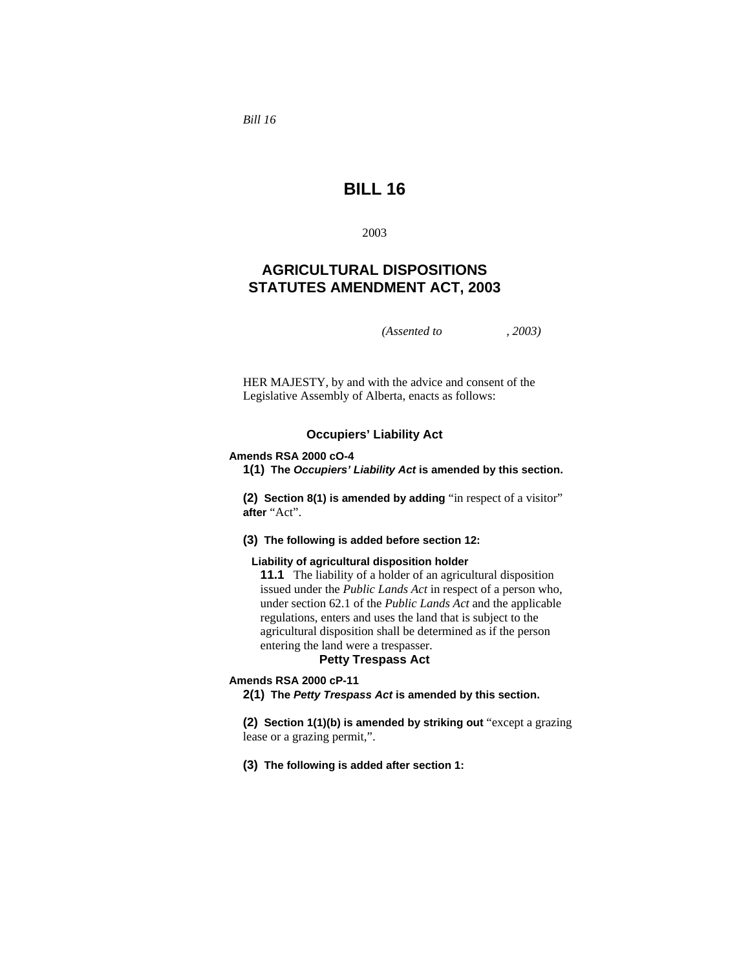*Bill 16* 

# **BILL 16**

2003

# **AGRICULTURAL DISPOSITIONS STATUTES AMENDMENT ACT, 2003**

*(Assented to , 2003)* 

HER MAJESTY, by and with the advice and consent of the Legislative Assembly of Alberta, enacts as follows:

# **Occupiers' Liability Act**

#### **Amends RSA 2000 cO-4**

**1(1) The** *Occupiers' Liability Act* **is amended by this section.**

**(2) Section 8(1) is amended by adding** "in respect of a visitor" **after** "Act".

**(3) The following is added before section 12:**

#### **Liability of agricultural disposition holder**

**11.1** The liability of a holder of an agricultural disposition issued under the *Public Lands Act* in respect of a person who, under section 62.1 of the *Public Lands Act* and the applicable regulations, enters and uses the land that is subject to the agricultural disposition shall be determined as if the person entering the land were a trespasser.

# **Petty Trespass Act**

**Amends RSA 2000 cP-11** 

**2(1) The** *Petty Trespass Act* **is amended by this section.**

**(2) Section 1(1)(b) is amended by striking out** "except a grazing lease or a grazing permit,".

**(3) The following is added after section 1:**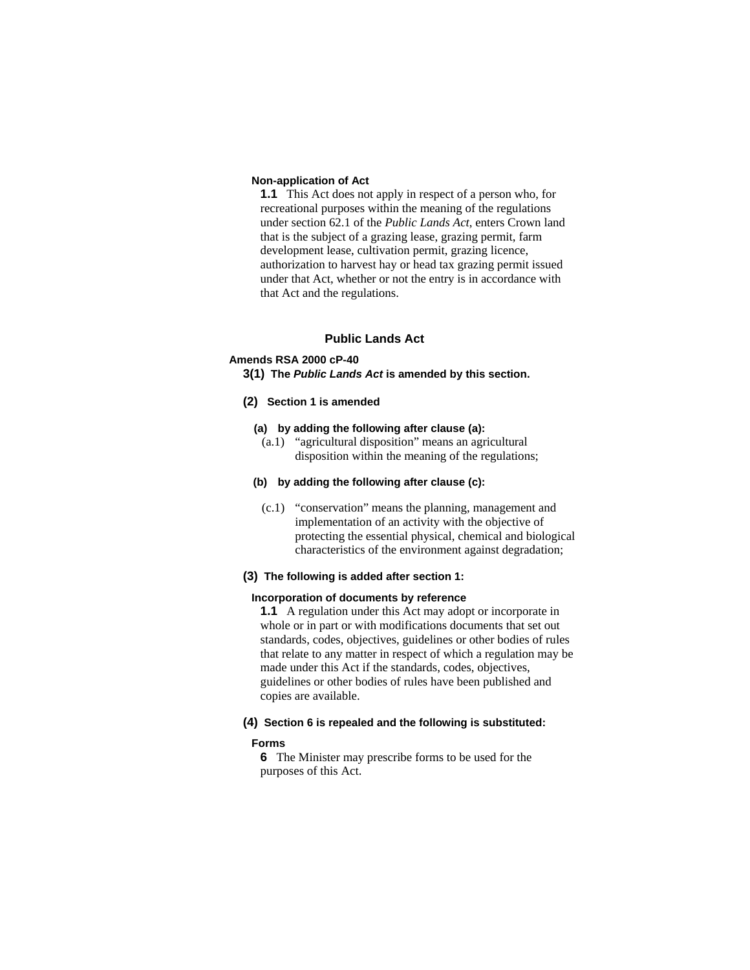### **Non-application of Act**

**1.1** This Act does not apply in respect of a person who, for recreational purposes within the meaning of the regulations under section 62.1 of the *Public Lands Act*, enters Crown land that is the subject of a grazing lease, grazing permit, farm development lease, cultivation permit, grazing licence, authorization to harvest hay or head tax grazing permit issued under that Act, whether or not the entry is in accordance with that Act and the regulations.

## **Public Lands Act**

# **Amends RSA 2000 cP-40**

**3(1) The** *Public Lands Act* **is amended by this section.**

**(2) Section 1 is amended** 

# **(a) by adding the following after clause (a):**

 (a.1) "agricultural disposition" means an agricultural disposition within the meaning of the regulations;

#### **(b) by adding the following after clause (c):**

 (c.1) "conservation" means the planning, management and implementation of an activity with the objective of protecting the essential physical, chemical and biological characteristics of the environment against degradation;

## **(3) The following is added after section 1:**

#### **Incorporation of documents by reference**

**1.1** A regulation under this Act may adopt or incorporate in whole or in part or with modifications documents that set out standards, codes, objectives, guidelines or other bodies of rules that relate to any matter in respect of which a regulation may be made under this Act if the standards, codes, objectives, guidelines or other bodies of rules have been published and copies are available.

### **(4) Section 6 is repealed and the following is substituted:**

#### **Forms**

**6** The Minister may prescribe forms to be used for the purposes of this Act.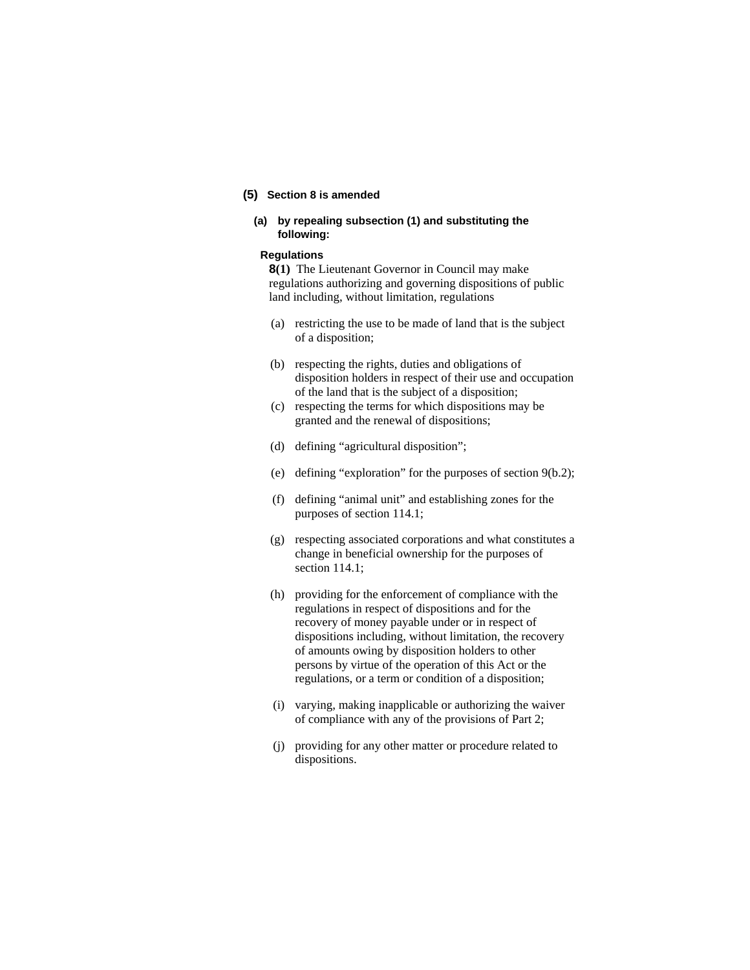# **(5) Section 8 is amended**

# **(a) by repealing subsection (1) and substituting the following:**

#### **Regulations**

**8(1)** The Lieutenant Governor in Council may make regulations authorizing and governing dispositions of public land including, without limitation, regulations

- (a) restricting the use to be made of land that is the subject of a disposition;
- (b) respecting the rights, duties and obligations of disposition holders in respect of their use and occupation of the land that is the subject of a disposition;
- (c) respecting the terms for which dispositions may be granted and the renewal of dispositions;
- (d) defining "agricultural disposition";
- (e) defining "exploration" for the purposes of section 9(b.2);
- (f) defining "animal unit" and establishing zones for the purposes of section 114.1;
- (g) respecting associated corporations and what constitutes a change in beneficial ownership for the purposes of section 114.1;
- (h) providing for the enforcement of compliance with the regulations in respect of dispositions and for the recovery of money payable under or in respect of dispositions including, without limitation, the recovery of amounts owing by disposition holders to other persons by virtue of the operation of this Act or the regulations, or a term or condition of a disposition;
- (i) varying, making inapplicable or authorizing the waiver of compliance with any of the provisions of Part 2;
- (j) providing for any other matter or procedure related to dispositions.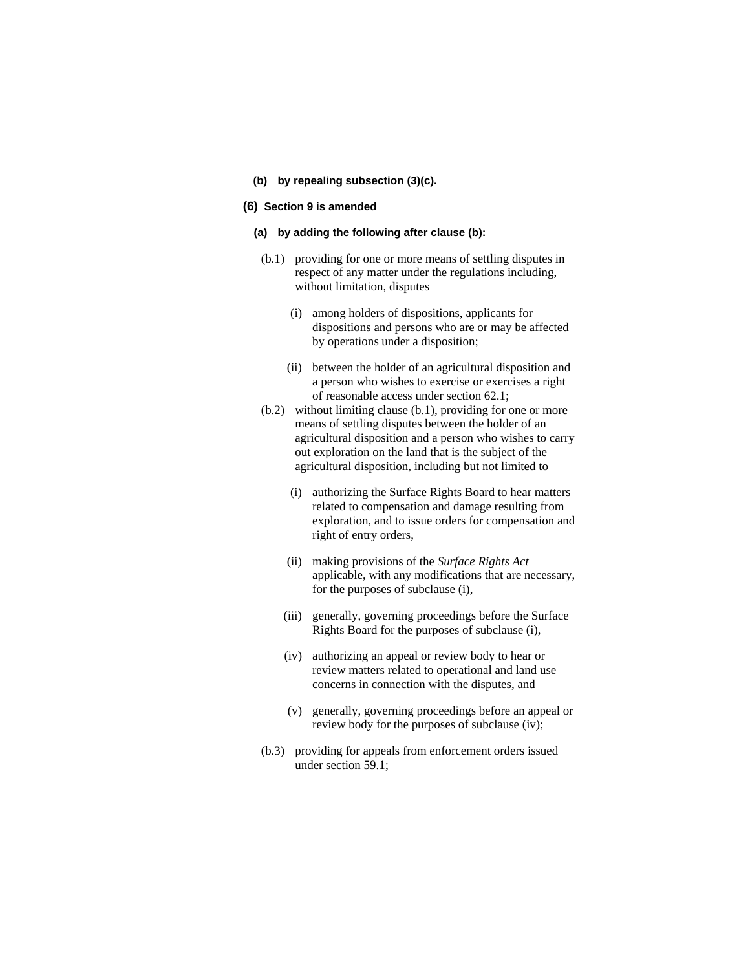**(b) by repealing subsection (3)(c).** 

#### **(6) Section 9 is amended**

#### **(a) by adding the following after clause (b):**

- (b.1) providing for one or more means of settling disputes in respect of any matter under the regulations including, without limitation, disputes
	- (i) among holders of dispositions, applicants for dispositions and persons who are or may be affected by operations under a disposition;
	- (ii) between the holder of an agricultural disposition and a person who wishes to exercise or exercises a right of reasonable access under section 62.1;
- (b.2) without limiting clause (b.1), providing for one or more means of settling disputes between the holder of an agricultural disposition and a person who wishes to carry out exploration on the land that is the subject of the agricultural disposition, including but not limited to
	- (i) authorizing the Surface Rights Board to hear matters related to compensation and damage resulting from exploration, and to issue orders for compensation and right of entry orders,
	- (ii) making provisions of the *Surface Rights Act* applicable, with any modifications that are necessary, for the purposes of subclause (i),
	- (iii) generally, governing proceedings before the Surface Rights Board for the purposes of subclause (i),
	- (iv) authorizing an appeal or review body to hear or review matters related to operational and land use concerns in connection with the disputes, and
	- (v) generally, governing proceedings before an appeal or review body for the purposes of subclause (iv);
- (b.3) providing for appeals from enforcement orders issued under section 59.1;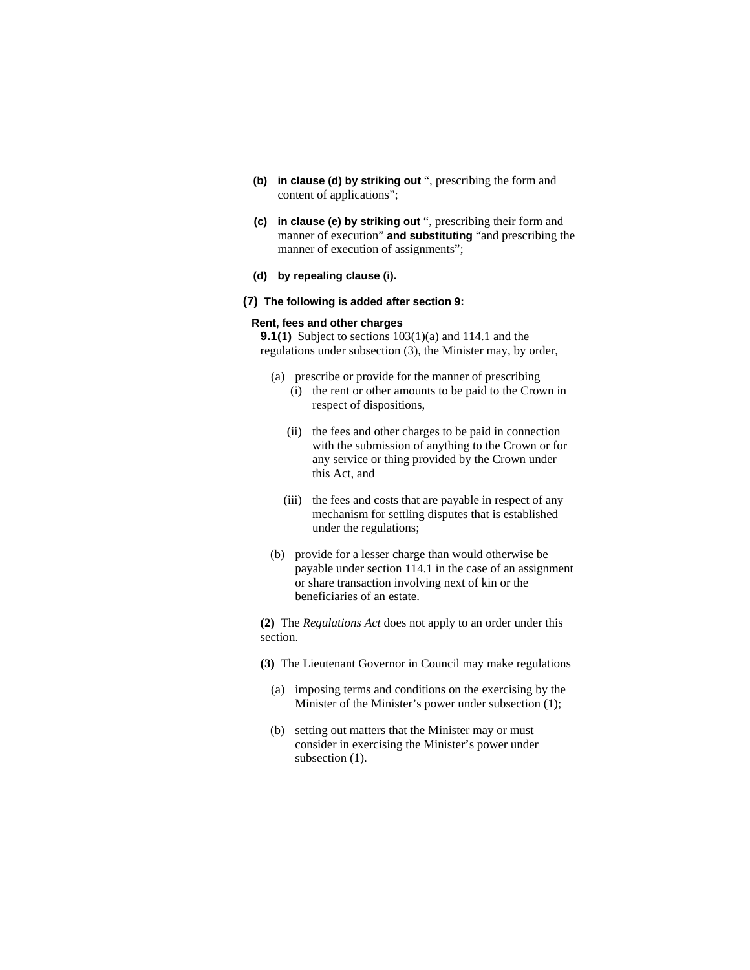- **(b) in clause (d) by striking out** ", prescribing the form and content of applications";
- **(c) in clause (e) by striking out** ", prescribing their form and manner of execution" **and substituting** "and prescribing the manner of execution of assignments";
- **(d) by repealing clause (i).**

## **(7) The following is added after section 9:**

### **Rent, fees and other charges**

**9.1(1)** Subject to sections 103(1)(a) and 114.1 and the regulations under subsection (3), the Minister may, by order,

- (a) prescribe or provide for the manner of prescribing
	- (i) the rent or other amounts to be paid to the Crown in respect of dispositions,
	- (ii) the fees and other charges to be paid in connection with the submission of anything to the Crown or for any service or thing provided by the Crown under this Act, and
	- (iii) the fees and costs that are payable in respect of any mechanism for settling disputes that is established under the regulations;
- (b) provide for a lesser charge than would otherwise be payable under section 114.1 in the case of an assignment or share transaction involving next of kin or the beneficiaries of an estate.

**(2)** The *Regulations Act* does not apply to an order under this section.

- **(3)** The Lieutenant Governor in Council may make regulations
	- (a) imposing terms and conditions on the exercising by the Minister of the Minister's power under subsection (1);
	- (b) setting out matters that the Minister may or must consider in exercising the Minister's power under subsection  $(1)$ .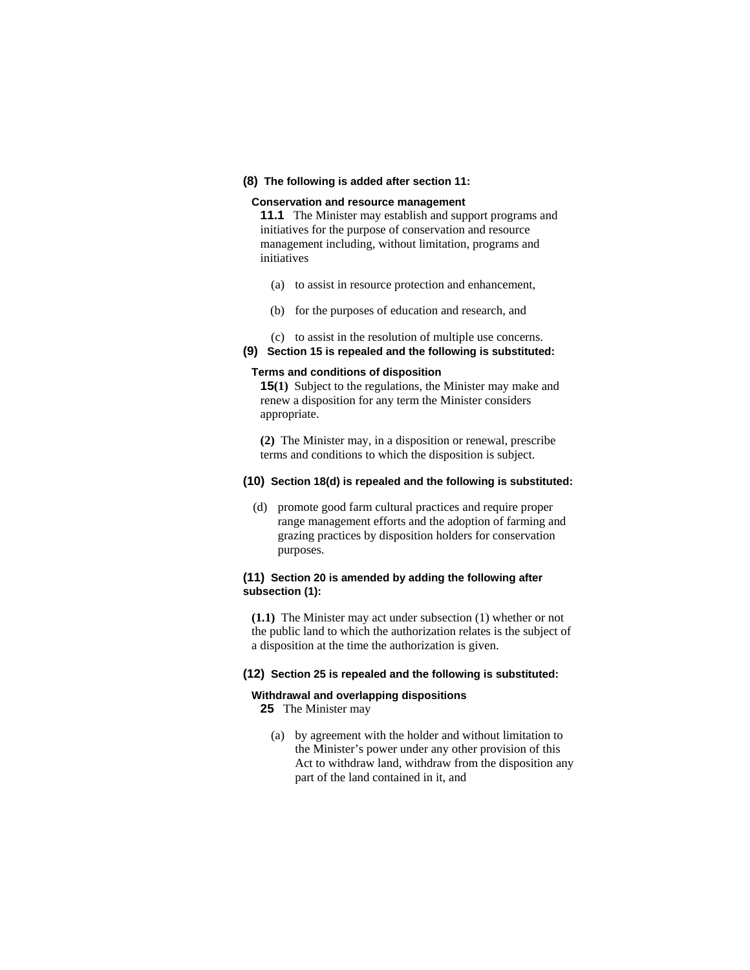#### **(8) The following is added after section 11:**

## **Conservation and resource management**

**11.1** The Minister may establish and support programs and initiatives for the purpose of conservation and resource management including, without limitation, programs and initiatives

- (a) to assist in resource protection and enhancement,
- (b) for the purposes of education and research, and
- (c) to assist in the resolution of multiple use concerns.
- **(9) Section 15 is repealed and the following is substituted:**

#### **Terms and conditions of disposition**

**15(1)** Subject to the regulations, the Minister may make and renew a disposition for any term the Minister considers appropriate.

**(2)** The Minister may, in a disposition or renewal, prescribe terms and conditions to which the disposition is subject.

### **(10) Section 18(d) is repealed and the following is substituted:**

 (d) promote good farm cultural practices and require proper range management efforts and the adoption of farming and grazing practices by disposition holders for conservation purposes.

# **(11) Section 20 is amended by adding the following after subsection (1):**

**(1.1)** The Minister may act under subsection (1) whether or not the public land to which the authorization relates is the subject of a disposition at the time the authorization is given.

#### **(12) Section 25 is repealed and the following is substituted:**

# **Withdrawal and overlapping dispositions**

**25** The Minister may

 (a) by agreement with the holder and without limitation to the Minister's power under any other provision of this Act to withdraw land, withdraw from the disposition any part of the land contained in it, and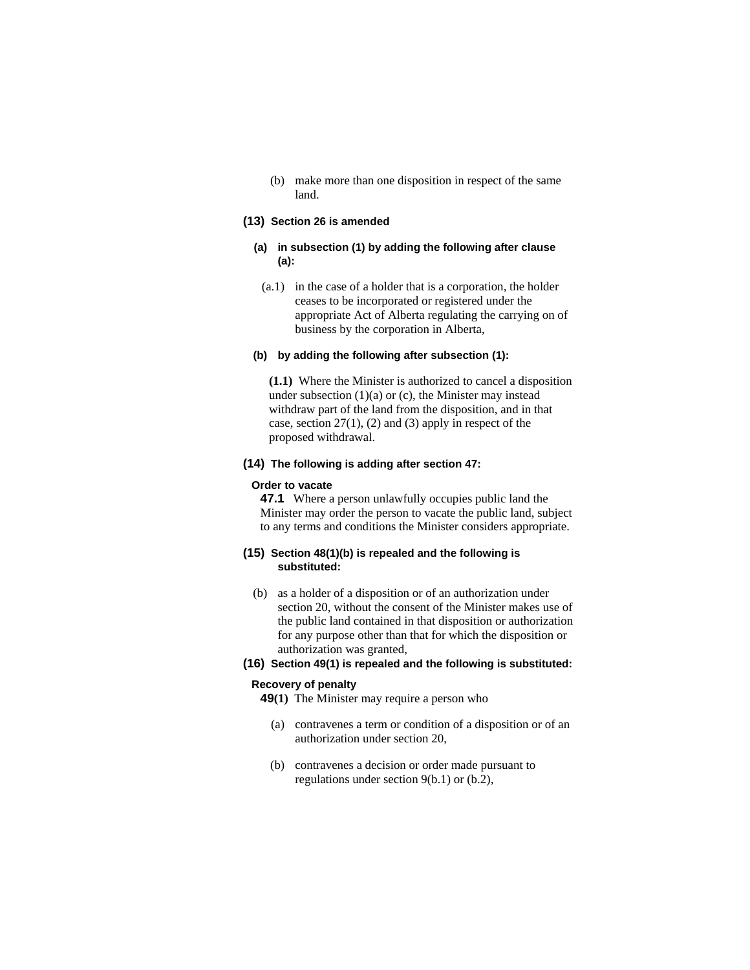(b) make more than one disposition in respect of the same land.

# **(13) Section 26 is amended**

## **(a) in subsection (1) by adding the following after clause (a):**

 (a.1) in the case of a holder that is a corporation, the holder ceases to be incorporated or registered under the appropriate Act of Alberta regulating the carrying on of business by the corporation in Alberta,

#### **(b) by adding the following after subsection (1):**

**(1.1)** Where the Minister is authorized to cancel a disposition under subsection  $(1)(a)$  or  $(c)$ , the Minister may instead withdraw part of the land from the disposition, and in that case, section  $27(1)$ ,  $(2)$  and  $(3)$  apply in respect of the proposed withdrawal.

# **(14) The following is adding after section 47:**

#### **Order to vacate**

**47.1** Where a person unlawfully occupies public land the Minister may order the person to vacate the public land, subject to any terms and conditions the Minister considers appropriate.

## **(15) Section 48(1)(b) is repealed and the following is substituted:**

 (b) as a holder of a disposition or of an authorization under section 20, without the consent of the Minister makes use of the public land contained in that disposition or authorization for any purpose other than that for which the disposition or authorization was granted,

# **(16) Section 49(1) is repealed and the following is substituted:**

# **Recovery of penalty**

- **49(1)** The Minister may require a person who
	- (a) contravenes a term or condition of a disposition or of an authorization under section 20,
	- (b) contravenes a decision or order made pursuant to regulations under section 9(b.1) or (b.2),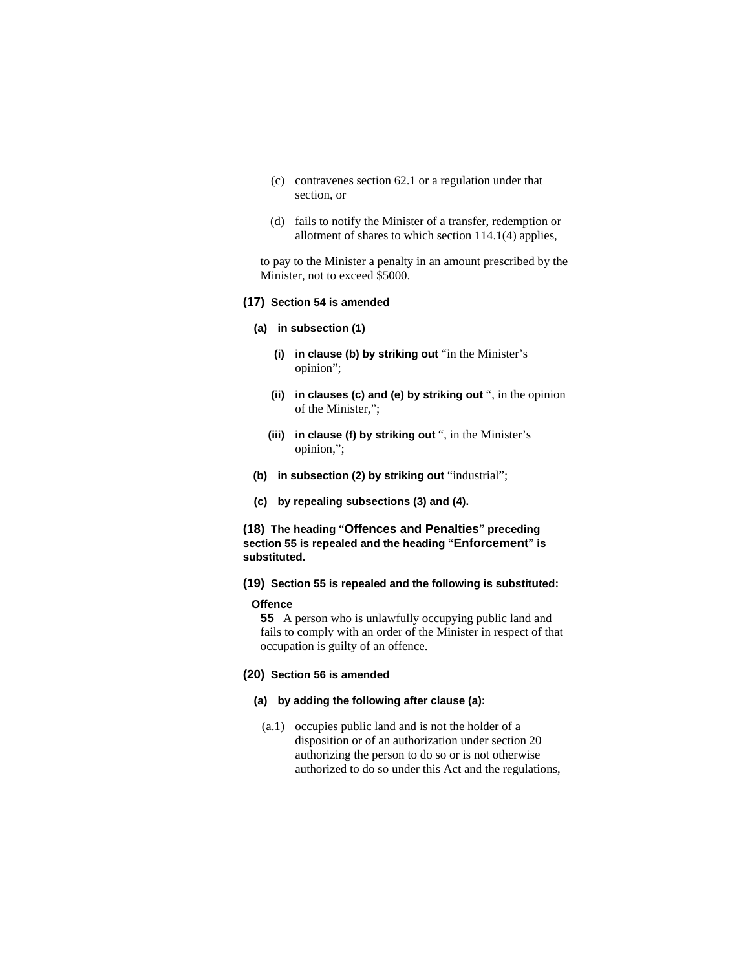- (c) contravenes section 62.1 or a regulation under that section, or
- (d) fails to notify the Minister of a transfer, redemption or allotment of shares to which section 114.1(4) applies,

to pay to the Minister a penalty in an amount prescribed by the Minister, not to exceed \$5000.

# **(17) Section 54 is amended**

#### **(a) in subsection (1)**

- **(i) in clause (b) by striking out** "in the Minister's opinion";
- **(ii) in clauses (c) and (e) by striking out** ", in the opinion of the Minister,";
- **(iii) in clause (f) by striking out** ", in the Minister's opinion,";
- **(b) in subsection (2) by striking out** "industrial";
- **(c) by repealing subsections (3) and (4).**

# **(18) The heading** "**Offences and Penalties**" **preceding section 55 is repealed and the heading** "**Enforcement**" **is substituted.**

**(19) Section 55 is repealed and the following is substituted:**

## **Offence**

**55** A person who is unlawfully occupying public land and fails to comply with an order of the Minister in respect of that occupation is guilty of an offence.

#### **(20) Section 56 is amended**

## **(a) by adding the following after clause (a):**

 (a.1) occupies public land and is not the holder of a disposition or of an authorization under section 20 authorizing the person to do so or is not otherwise authorized to do so under this Act and the regulations,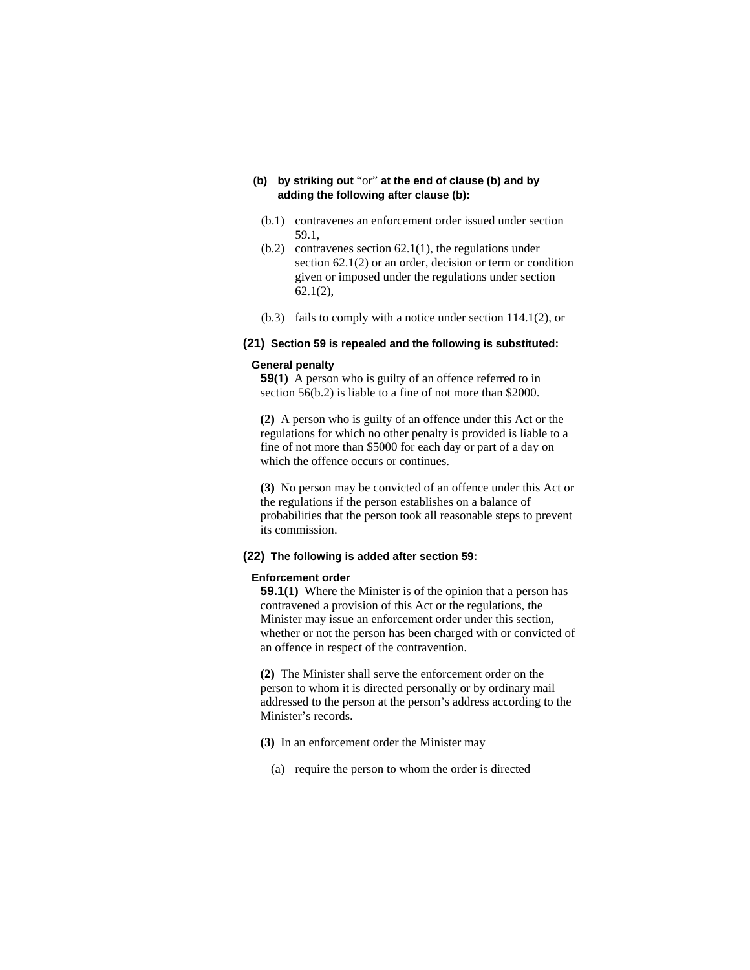# **(b) by striking out** "or" **at the end of clause (b) and by adding the following after clause (b):**

- (b.1) contravenes an enforcement order issued under section 59.1,
- (b.2) contravenes section 62.1(1), the regulations under section 62.1(2) or an order, decision or term or condition given or imposed under the regulations under section 62.1(2),
- (b.3) fails to comply with a notice under section 114.1(2), or

# **(21) Section 59 is repealed and the following is substituted:**

#### **General penalty**

**59(1)** A person who is guilty of an offence referred to in section 56(b.2) is liable to a fine of not more than \$2000.

**(2)** A person who is guilty of an offence under this Act or the regulations for which no other penalty is provided is liable to a fine of not more than \$5000 for each day or part of a day on which the offence occurs or continues.

**(3)** No person may be convicted of an offence under this Act or the regulations if the person establishes on a balance of probabilities that the person took all reasonable steps to prevent its commission.

### **(22) The following is added after section 59:**

#### **Enforcement order**

**59.1(1)** Where the Minister is of the opinion that a person has contravened a provision of this Act or the regulations, the Minister may issue an enforcement order under this section, whether or not the person has been charged with or convicted of an offence in respect of the contravention.

**(2)** The Minister shall serve the enforcement order on the person to whom it is directed personally or by ordinary mail addressed to the person at the person's address according to the Minister's records.

- **(3)** In an enforcement order the Minister may
	- (a) require the person to whom the order is directed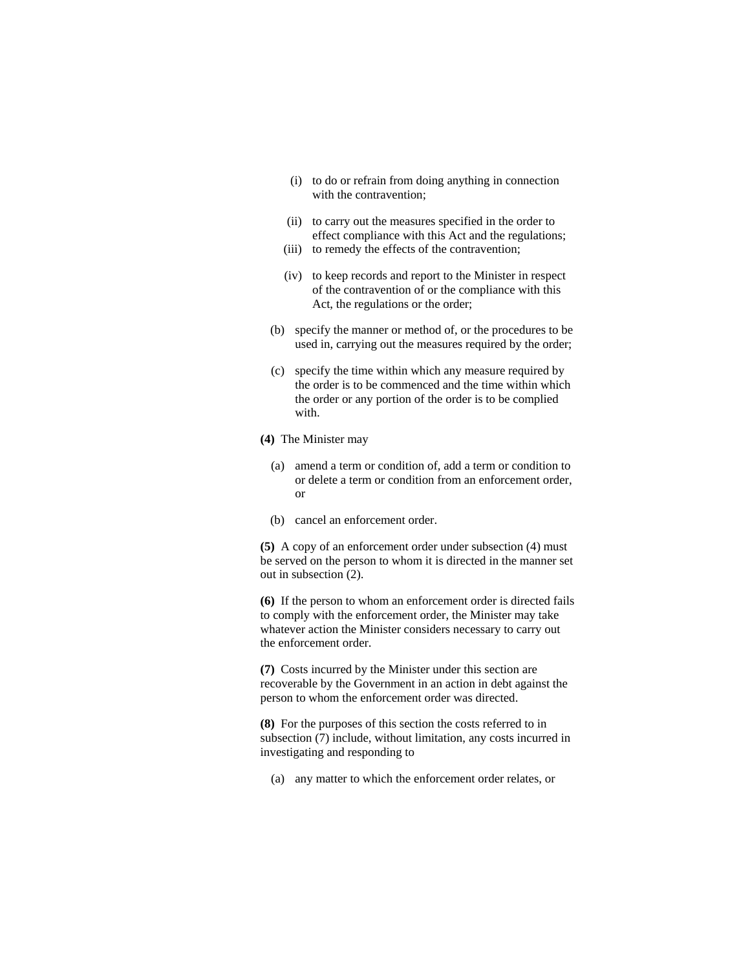- (i) to do or refrain from doing anything in connection with the contravention;
- (ii) to carry out the measures specified in the order to effect compliance with this Act and the regulations;
- (iii) to remedy the effects of the contravention;
- (iv) to keep records and report to the Minister in respect of the contravention of or the compliance with this Act, the regulations or the order;
- (b) specify the manner or method of, or the procedures to be used in, carrying out the measures required by the order;
- (c) specify the time within which any measure required by the order is to be commenced and the time within which the order or any portion of the order is to be complied with.
- **(4)** The Minister may
	- (a) amend a term or condition of, add a term or condition to or delete a term or condition from an enforcement order, or
	- (b) cancel an enforcement order.

**(5)** A copy of an enforcement order under subsection (4) must be served on the person to whom it is directed in the manner set out in subsection (2).

**(6)** If the person to whom an enforcement order is directed fails to comply with the enforcement order, the Minister may take whatever action the Minister considers necessary to carry out the enforcement order.

**(7)** Costs incurred by the Minister under this section are recoverable by the Government in an action in debt against the person to whom the enforcement order was directed.

**(8)** For the purposes of this section the costs referred to in subsection (7) include, without limitation, any costs incurred in investigating and responding to

(a) any matter to which the enforcement order relates, or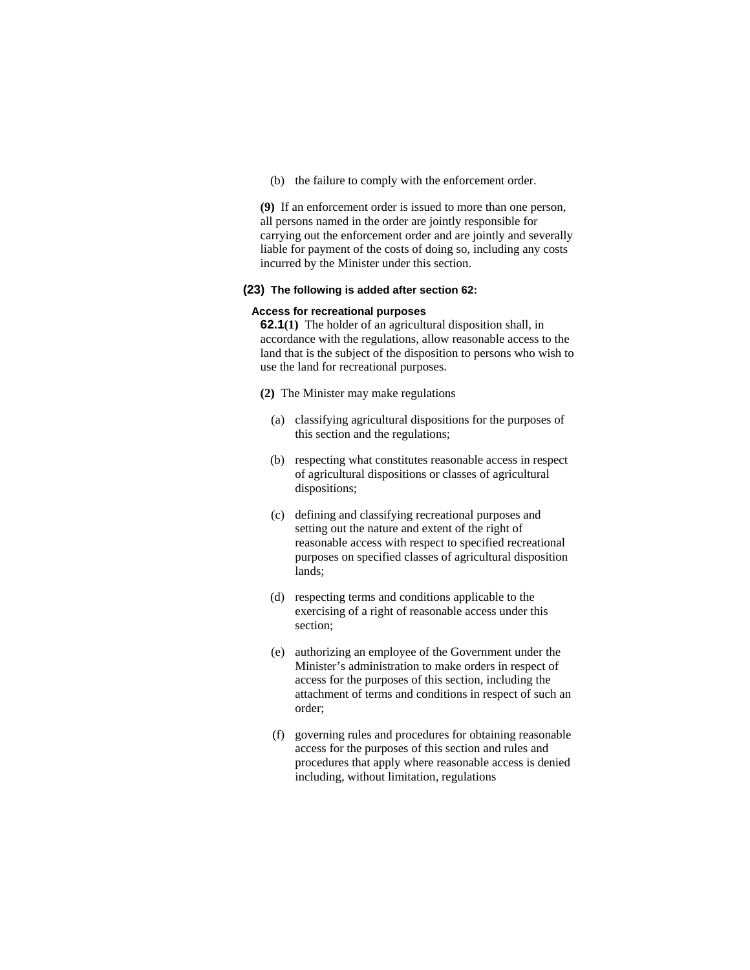(b) the failure to comply with the enforcement order.

**(9)** If an enforcement order is issued to more than one person, all persons named in the order are jointly responsible for carrying out the enforcement order and are jointly and severally liable for payment of the costs of doing so, including any costs incurred by the Minister under this section.

#### **(23) The following is added after section 62:**

# **Access for recreational purposes**

**62.1(1)** The holder of an agricultural disposition shall, in accordance with the regulations, allow reasonable access to the land that is the subject of the disposition to persons who wish to use the land for recreational purposes.

**(2)** The Minister may make regulations

- (a) classifying agricultural dispositions for the purposes of this section and the regulations;
- (b) respecting what constitutes reasonable access in respect of agricultural dispositions or classes of agricultural dispositions;
- (c) defining and classifying recreational purposes and setting out the nature and extent of the right of reasonable access with respect to specified recreational purposes on specified classes of agricultural disposition lands;
- (d) respecting terms and conditions applicable to the exercising of a right of reasonable access under this section;
- (e) authorizing an employee of the Government under the Minister's administration to make orders in respect of access for the purposes of this section, including the attachment of terms and conditions in respect of such an order;
- (f) governing rules and procedures for obtaining reasonable access for the purposes of this section and rules and procedures that apply where reasonable access is denied including, without limitation, regulations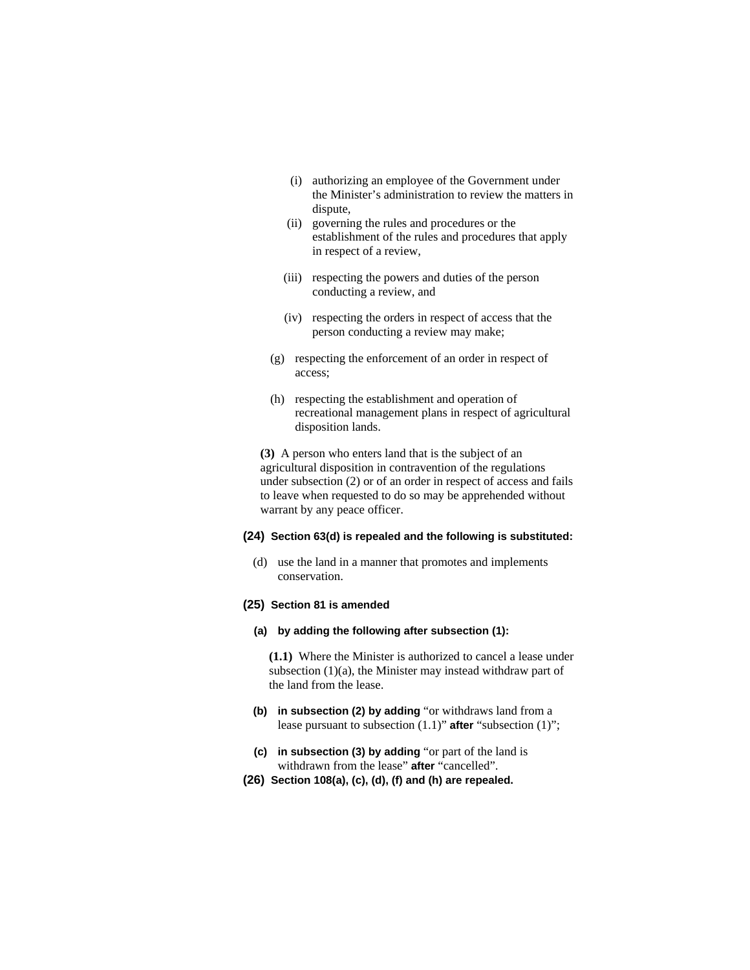- (i) authorizing an employee of the Government under the Minister's administration to review the matters in dispute,
- (ii) governing the rules and procedures or the establishment of the rules and procedures that apply in respect of a review,
- (iii) respecting the powers and duties of the person conducting a review, and
- (iv) respecting the orders in respect of access that the person conducting a review may make;
- (g) respecting the enforcement of an order in respect of access;
- (h) respecting the establishment and operation of recreational management plans in respect of agricultural disposition lands.

**(3)** A person who enters land that is the subject of an agricultural disposition in contravention of the regulations under subsection (2) or of an order in respect of access and fails to leave when requested to do so may be apprehended without warrant by any peace officer.

#### **(24) Section 63(d) is repealed and the following is substituted:**

 (d) use the land in a manner that promotes and implements conservation.

## **(25) Section 81 is amended**

# **(a) by adding the following after subsection (1):**

**(1.1)** Where the Minister is authorized to cancel a lease under subsection (1)(a), the Minister may instead withdraw part of the land from the lease.

- **(b) in subsection (2) by adding** "or withdraws land from a lease pursuant to subsection (1.1)" **after** "subsection (1)";
- **(c) in subsection (3) by adding** "or part of the land is withdrawn from the lease" **after** "cancelled".
- **(26) Section 108(a), (c), (d), (f) and (h) are repealed.**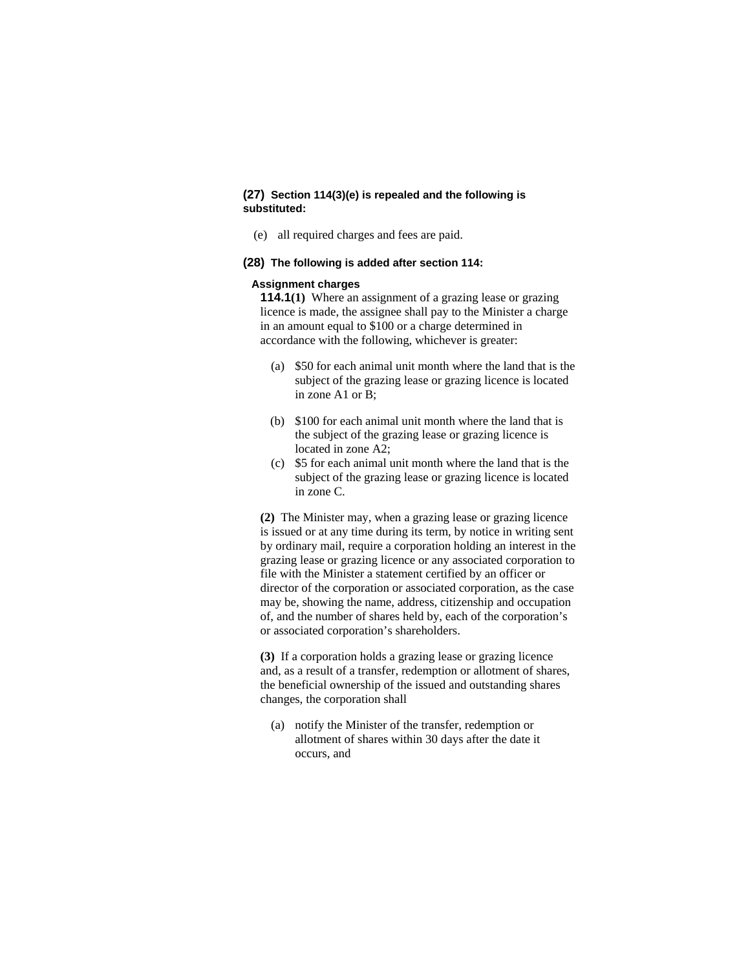# **(27) Section 114(3)(e) is repealed and the following is substituted:**

(e) all required charges and fees are paid.

## **(28) The following is added after section 114:**

#### **Assignment charges**

**114.1(1)** Where an assignment of a grazing lease or grazing licence is made, the assignee shall pay to the Minister a charge in an amount equal to \$100 or a charge determined in accordance with the following, whichever is greater:

- (a) \$50 for each animal unit month where the land that is the subject of the grazing lease or grazing licence is located in zone A1 or B;
- (b) \$100 for each animal unit month where the land that is the subject of the grazing lease or grazing licence is located in zone A2;
- (c) \$5 for each animal unit month where the land that is the subject of the grazing lease or grazing licence is located in zone C.

**(2)** The Minister may, when a grazing lease or grazing licence is issued or at any time during its term, by notice in writing sent by ordinary mail, require a corporation holding an interest in the grazing lease or grazing licence or any associated corporation to file with the Minister a statement certified by an officer or director of the corporation or associated corporation, as the case may be, showing the name, address, citizenship and occupation of, and the number of shares held by, each of the corporation's or associated corporation's shareholders.

**(3)** If a corporation holds a grazing lease or grazing licence and, as a result of a transfer, redemption or allotment of shares, the beneficial ownership of the issued and outstanding shares changes, the corporation shall

 (a) notify the Minister of the transfer, redemption or allotment of shares within 30 days after the date it occurs, and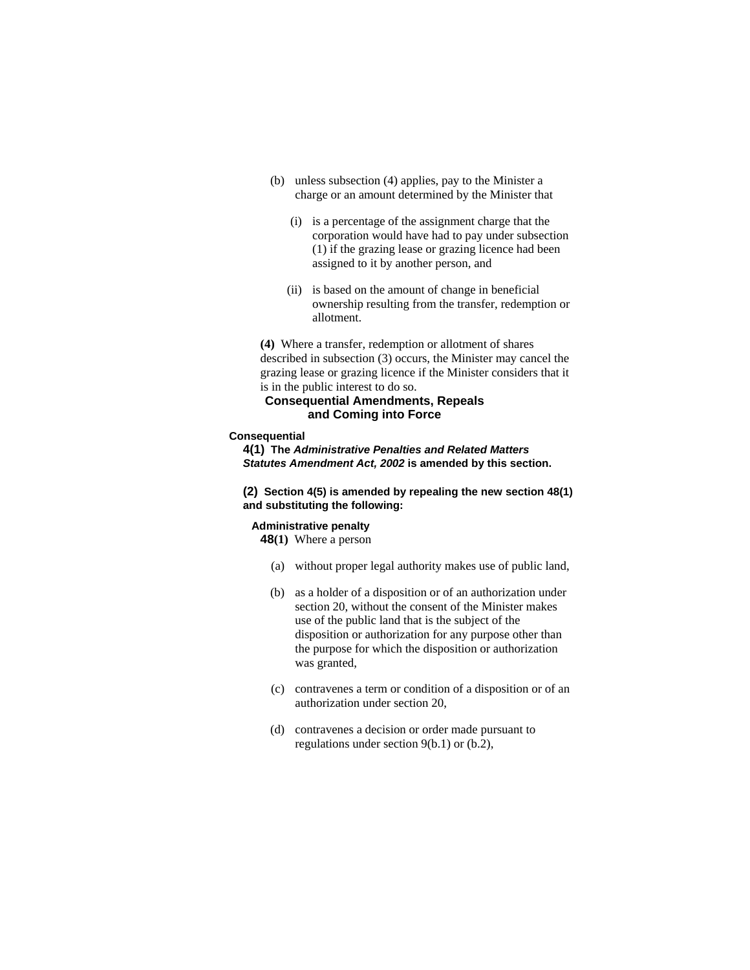- (b) unless subsection (4) applies, pay to the Minister a charge or an amount determined by the Minister that
	- (i) is a percentage of the assignment charge that the corporation would have had to pay under subsection (1) if the grazing lease or grazing licence had been assigned to it by another person, and
	- (ii) is based on the amount of change in beneficial ownership resulting from the transfer, redemption or allotment.

**(4)** Where a transfer, redemption or allotment of shares described in subsection (3) occurs, the Minister may cancel the grazing lease or grazing licence if the Minister considers that it is in the public interest to do so.

# **Consequential Amendments, Repeals and Coming into Force**

#### **Consequential**

**4(1) The** *Administrative Penalties and Related Matters Statutes Amendment Act, 2002* **is amended by this section.** 

**(2) Section 4(5) is amended by repealing the new section 48(1) and substituting the following:**

# **Administrative penalty**

**48(1)** Where a person

- (a) without proper legal authority makes use of public land,
- (b) as a holder of a disposition or of an authorization under section 20, without the consent of the Minister makes use of the public land that is the subject of the disposition or authorization for any purpose other than the purpose for which the disposition or authorization was granted,
- (c) contravenes a term or condition of a disposition or of an authorization under section 20,
- (d) contravenes a decision or order made pursuant to regulations under section 9(b.1) or (b.2),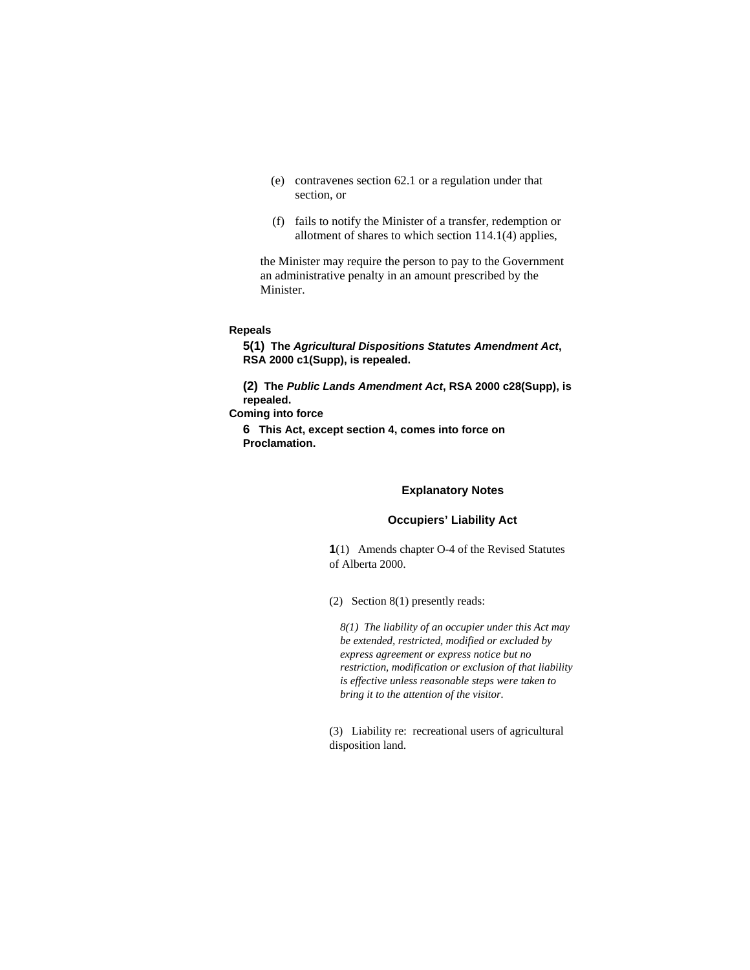- (e) contravenes section 62.1 or a regulation under that section, or
- (f) fails to notify the Minister of a transfer, redemption or allotment of shares to which section 114.1(4) applies,

the Minister may require the person to pay to the Government an administrative penalty in an amount prescribed by the Minister.

# **Repeals**

**5(1) The** *Agricultural Dispositions Statutes Amendment Act***, RSA 2000 c1(Supp), is repealed.** 

**(2) The** *Public Lands Amendment Act***, RSA 2000 c28(Supp), is repealed.** 

**Coming into force** 

**6 This Act, except section 4, comes into force on Proclamation.** 

#### **Explanatory Notes**

## **Occupiers' Liability Act**

**1**(1) Amends chapter O-4 of the Revised Statutes of Alberta 2000.

(2) Section 8(1) presently reads:

*8(1) The liability of an occupier under this Act may be extended, restricted, modified or excluded by express agreement or express notice but no restriction, modification or exclusion of that liability is effective unless reasonable steps were taken to bring it to the attention of the visitor.* 

(3) Liability re: recreational users of agricultural disposition land.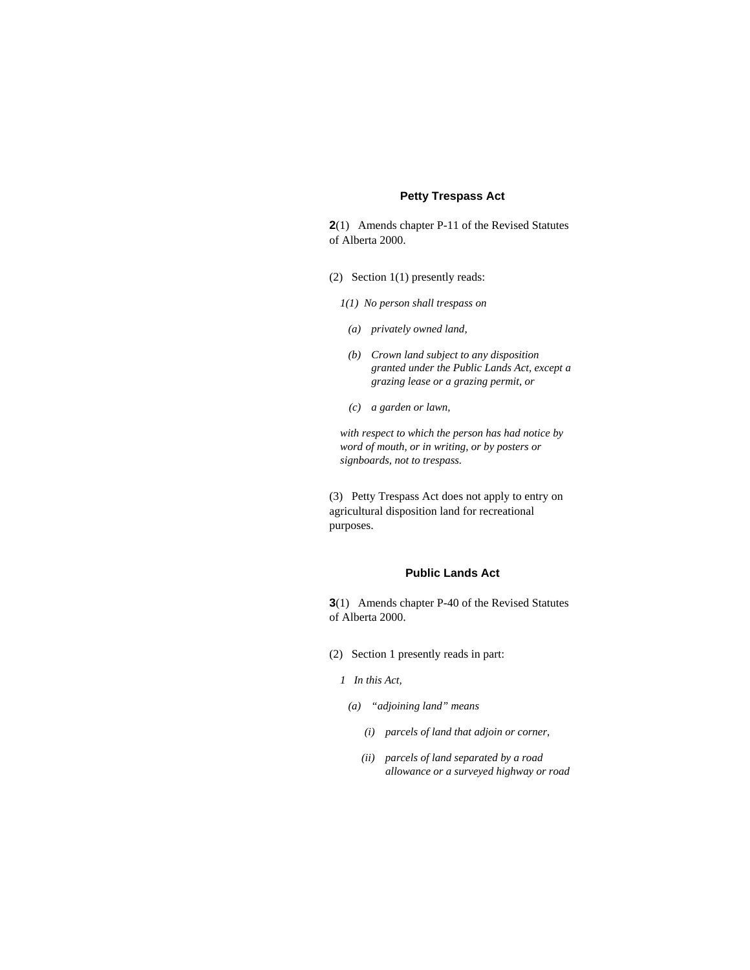# **Petty Trespass Act**

**2**(1) Amends chapter P-11 of the Revised Statutes of Alberta 2000.

- (2) Section 1(1) presently reads:
	- *1(1) No person shall trespass on*
	- *(a) privately owned land,*
	- *(b) Crown land subject to any disposition granted under the Public Lands Act, except a grazing lease or a grazing permit, or*
	- *(c) a garden or lawn,*

*with respect to which the person has had notice by word of mouth, or in writing, or by posters or signboards, not to trespass.* 

(3) Petty Trespass Act does not apply to entry on agricultural disposition land for recreational purposes.

# **Public Lands Act**

**3**(1) Amends chapter P-40 of the Revised Statutes of Alberta 2000.

- (2) Section 1 presently reads in part:
	- *1 In this Act,*
	- *(a) "adjoining land" means* 
		- *(i) parcels of land that adjoin or corner,*
		- *(ii) parcels of land separated by a road allowance or a surveyed highway or road*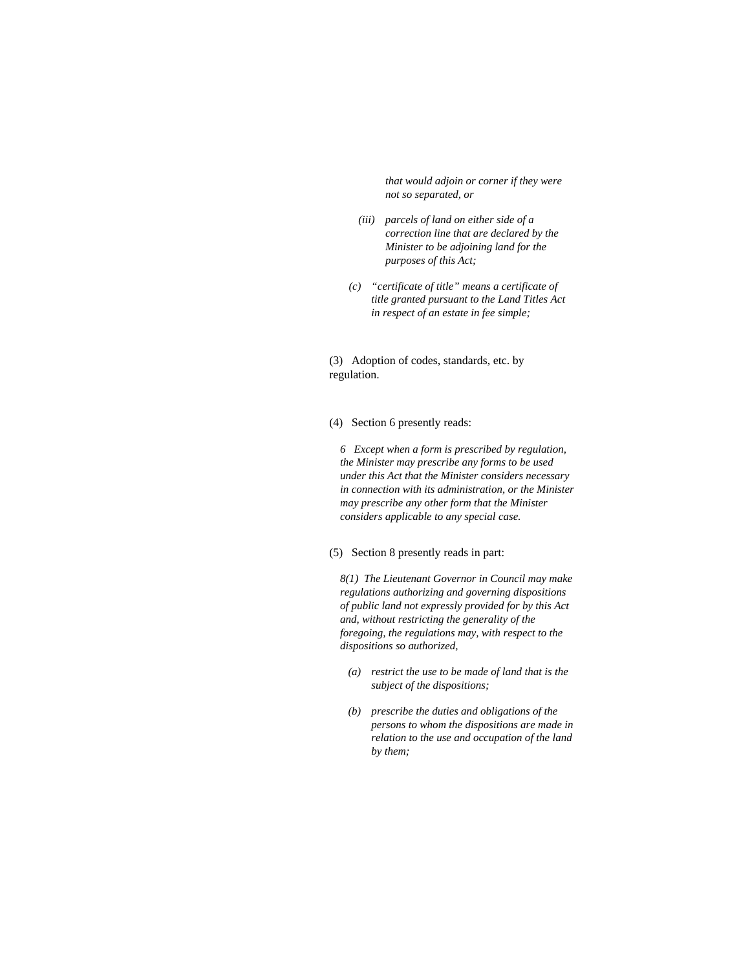*that would adjoin or corner if they were not so separated, or* 

- *(iii) parcels of land on either side of a correction line that are declared by the Minister to be adjoining land for the purposes of this Act;*
- *(c) "certificate of title" means a certificate of title granted pursuant to the Land Titles Act in respect of an estate in fee simple;*

(3) Adoption of codes, standards, etc. by regulation.

#### (4) Section 6 presently reads:

*6 Except when a form is prescribed by regulation, the Minister may prescribe any forms to be used under this Act that the Minister considers necessary in connection with its administration, or the Minister may prescribe any other form that the Minister considers applicable to any special case.* 

# (5) Section 8 presently reads in part:

*8(1) The Lieutenant Governor in Council may make regulations authorizing and governing dispositions of public land not expressly provided for by this Act and, without restricting the generality of the foregoing, the regulations may, with respect to the dispositions so authorized,* 

- *(a) restrict the use to be made of land that is the subject of the dispositions;*
- *(b) prescribe the duties and obligations of the persons to whom the dispositions are made in relation to the use and occupation of the land by them;*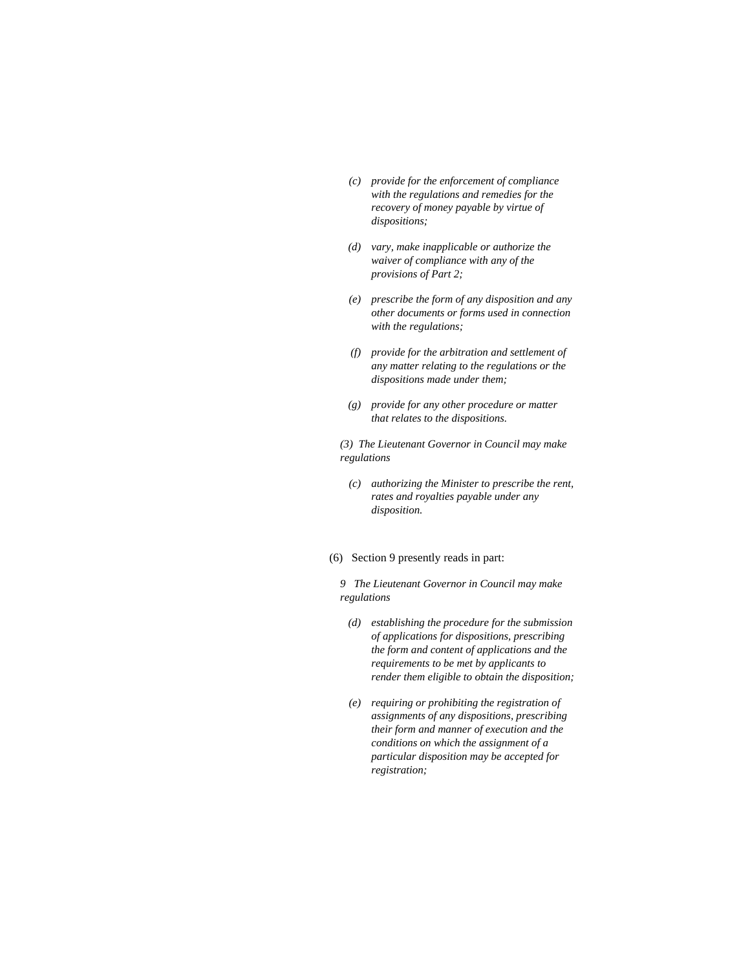- *(c) provide for the enforcement of compliance with the regulations and remedies for the recovery of money payable by virtue of dispositions;*
- *(d) vary, make inapplicable or authorize the waiver of compliance with any of the provisions of Part 2;*
- *(e) prescribe the form of any disposition and any other documents or forms used in connection with the regulations;*
- *(f) provide for the arbitration and settlement of any matter relating to the regulations or the dispositions made under them;*
- *(g) provide for any other procedure or matter that relates to the dispositions.*

*(3) The Lieutenant Governor in Council may make regulations* 

 *(c) authorizing the Minister to prescribe the rent, rates and royalties payable under any disposition.* 

# (6) Section 9 presently reads in part:

*9 The Lieutenant Governor in Council may make regulations* 

- *(d) establishing the procedure for the submission of applications for dispositions, prescribing the form and content of applications and the requirements to be met by applicants to render them eligible to obtain the disposition;*
- *(e) requiring or prohibiting the registration of assignments of any dispositions, prescribing their form and manner of execution and the conditions on which the assignment of a particular disposition may be accepted for registration;*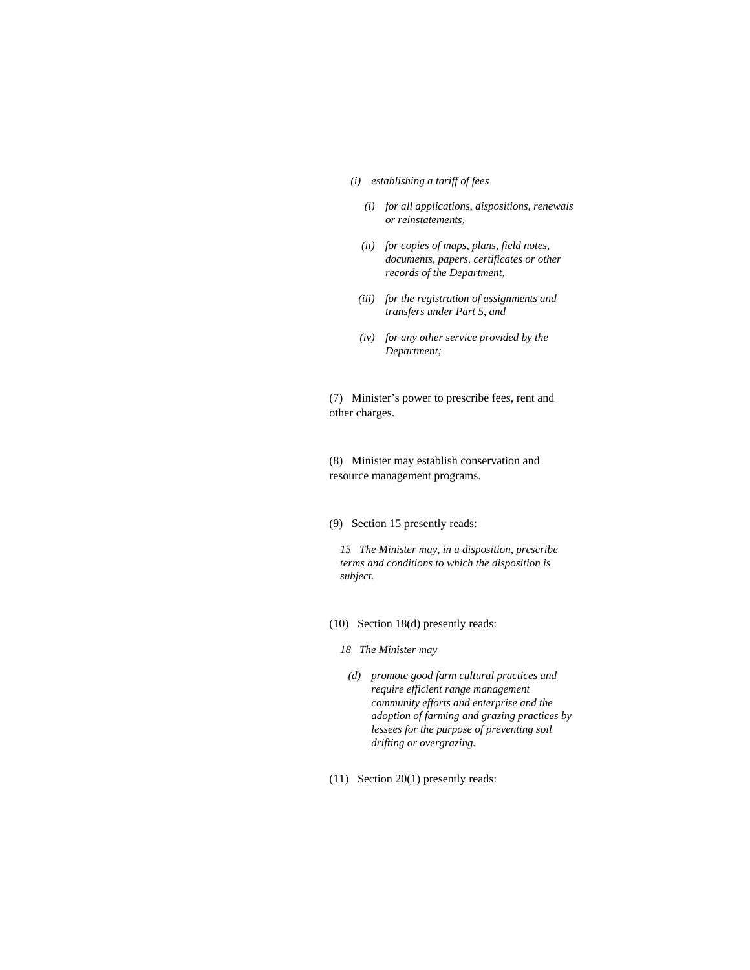- *(i) establishing a tariff of fees* 
	- *(i) for all applications, dispositions, renewals or reinstatements,*
	- *(ii) for copies of maps, plans, field notes, documents, papers, certificates or other records of the Department,*
- *(iii) for the registration of assignments and transfers under Part 5, and*
- *(iv) for any other service provided by the Department;*

(7) Minister's power to prescribe fees, rent and other charges.

(8) Minister may establish conservation and resource management programs.

(9) Section 15 presently reads:

*15 The Minister may, in a disposition, prescribe terms and conditions to which the disposition is subject.* 

- (10) Section 18(d) presently reads:
	- *18 The Minister may*
	- *(d) promote good farm cultural practices and require efficient range management community efforts and enterprise and the adoption of farming and grazing practices by lessees for the purpose of preventing soil drifting or overgrazing.*
- (11) Section 20(1) presently reads: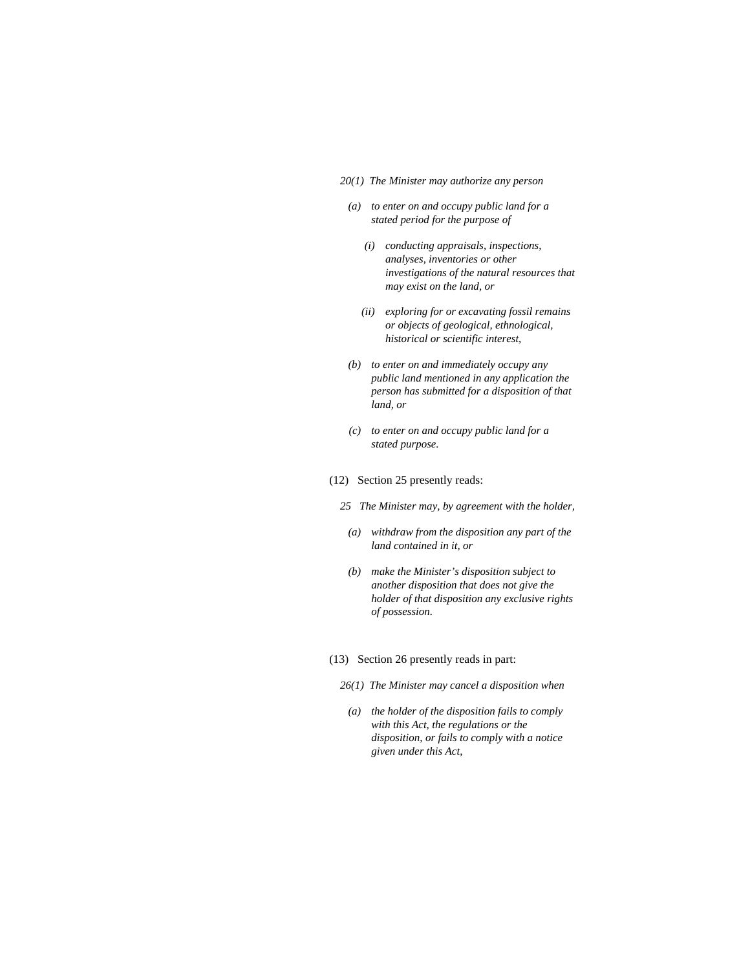#### *20(1) The Minister may authorize any person*

- *(a) to enter on and occupy public land for a stated period for the purpose of* 
	- *(i) conducting appraisals, inspections, analyses, inventories or other investigations of the natural resources that may exist on the land, or*
	- *(ii) exploring for or excavating fossil remains or objects of geological, ethnological, historical or scientific interest,*
- *(b) to enter on and immediately occupy any public land mentioned in any application the person has submitted for a disposition of that land, or*
- *(c) to enter on and occupy public land for a stated purpose.*
- (12) Section 25 presently reads:
	- *25 The Minister may, by agreement with the holder,* 
		- *(a) withdraw from the disposition any part of the land contained in it, or*
		- *(b) make the Minister's disposition subject to another disposition that does not give the holder of that disposition any exclusive rights of possession.*
- (13) Section 26 presently reads in part:
	- *26(1) The Minister may cancel a disposition when*
	- *(a) the holder of the disposition fails to comply with this Act, the regulations or the disposition, or fails to comply with a notice given under this Act,*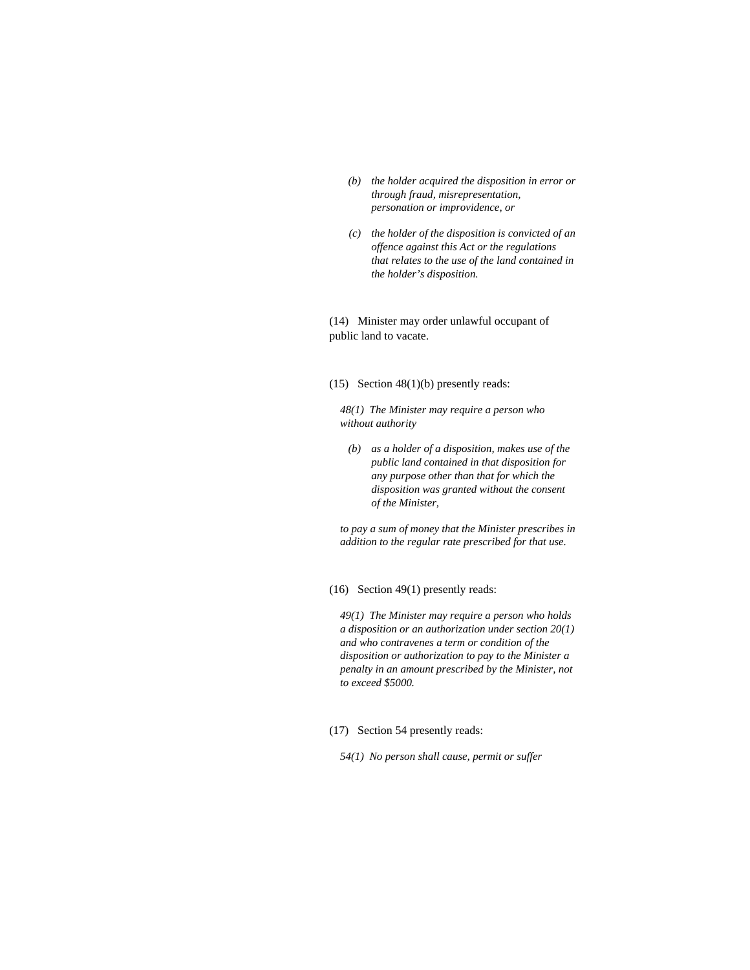- *(b) the holder acquired the disposition in error or through fraud, misrepresentation, personation or improvidence, or*
- *(c) the holder of the disposition is convicted of an offence against this Act or the regulations that relates to the use of the land contained in the holder's disposition.*

(14) Minister may order unlawful occupant of public land to vacate.

(15) Section 48(1)(b) presently reads:

*48(1) The Minister may require a person who without authority* 

 *(b) as a holder of a disposition, makes use of the public land contained in that disposition for any purpose other than that for which the disposition was granted without the consent of the Minister,* 

*to pay a sum of money that the Minister prescribes in addition to the regular rate prescribed for that use.* 

(16) Section 49(1) presently reads:

*49(1) The Minister may require a person who holds a disposition or an authorization under section 20(1) and who contravenes a term or condition of the disposition or authorization to pay to the Minister a penalty in an amount prescribed by the Minister, not to exceed \$5000.* 

(17) Section 54 presently reads:

*54(1) No person shall cause, permit or suffer*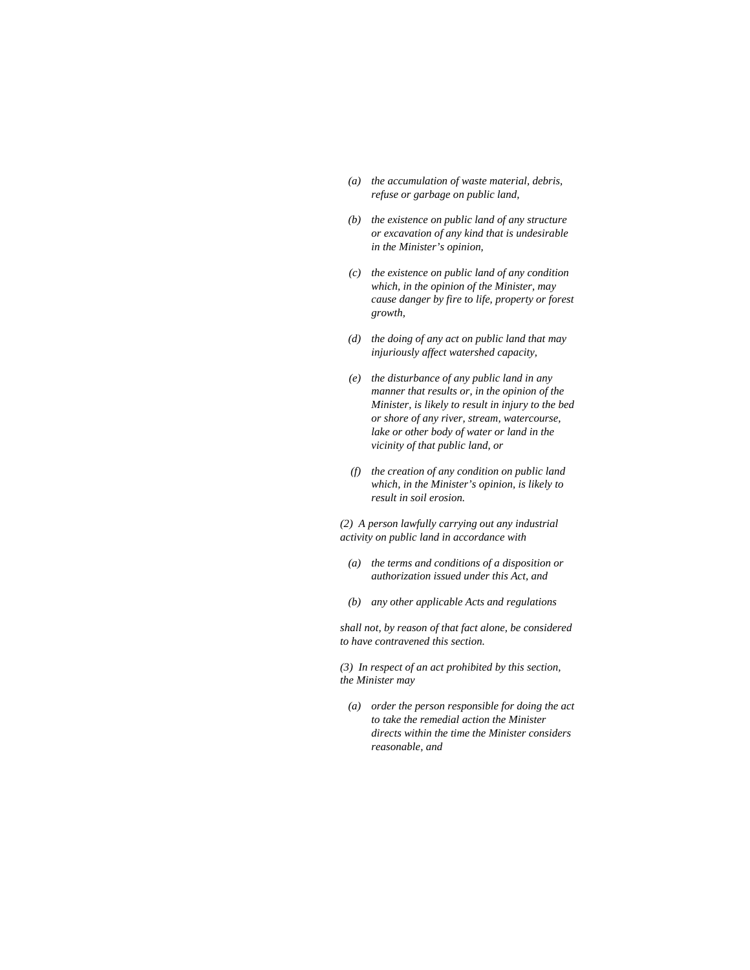- *(a) the accumulation of waste material, debris, refuse or garbage on public land,*
- *(b) the existence on public land of any structure or excavation of any kind that is undesirable in the Minister's opinion,*
- *(c) the existence on public land of any condition which, in the opinion of the Minister, may cause danger by fire to life, property or forest growth,*
- *(d) the doing of any act on public land that may injuriously affect watershed capacity,*
- *(e) the disturbance of any public land in any manner that results or, in the opinion of the Minister, is likely to result in injury to the bed or shore of any river, stream, watercourse, lake or other body of water or land in the vicinity of that public land, or*
- *(f) the creation of any condition on public land which, in the Minister's opinion, is likely to result in soil erosion.*

*(2) A person lawfully carrying out any industrial activity on public land in accordance with* 

- *(a) the terms and conditions of a disposition or authorization issued under this Act, and*
- *(b) any other applicable Acts and regulations*

*shall not, by reason of that fact alone, be considered to have contravened this section.* 

*(3) In respect of an act prohibited by this section, the Minister may* 

 *(a) order the person responsible for doing the act to take the remedial action the Minister directs within the time the Minister considers reasonable, and*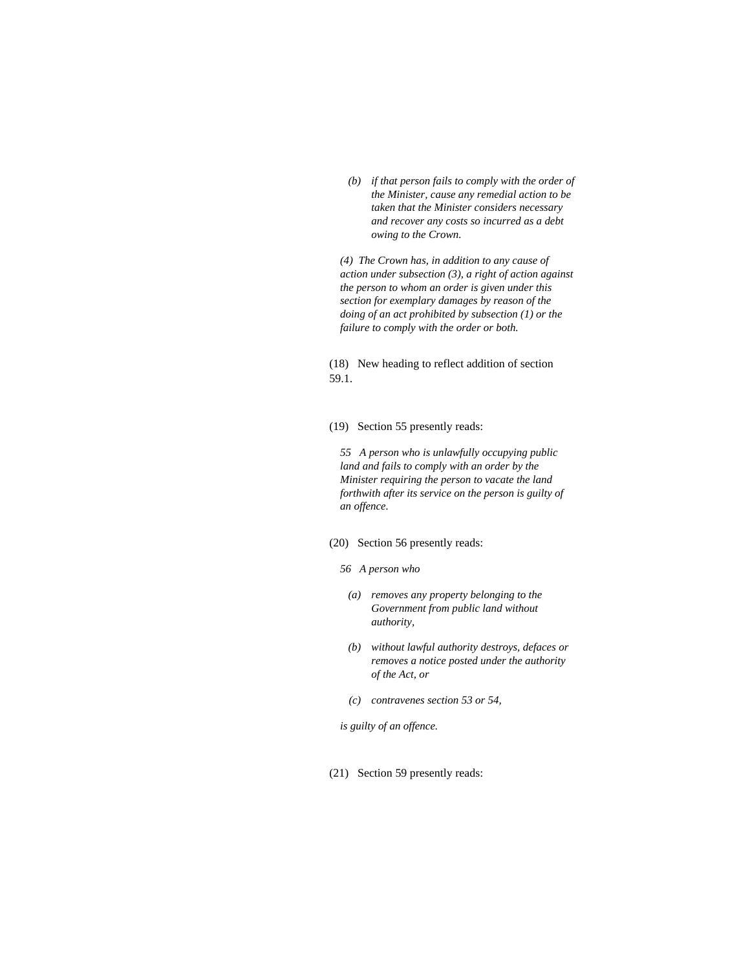*(b) if that person fails to comply with the order of the Minister, cause any remedial action to be taken that the Minister considers necessary and recover any costs so incurred as a debt owing to the Crown.* 

*(4) The Crown has, in addition to any cause of action under subsection (3), a right of action against the person to whom an order is given under this section for exemplary damages by reason of the doing of an act prohibited by subsection (1) or the failure to comply with the order or both.* 

(18) New heading to reflect addition of section 59.1.

(19) Section 55 presently reads:

*55 A person who is unlawfully occupying public land and fails to comply with an order by the Minister requiring the person to vacate the land forthwith after its service on the person is guilty of an offence.* 

## (20) Section 56 presently reads:

- *56 A person who* 
	- *(a) removes any property belonging to the Government from public land without authority,*
	- *(b) without lawful authority destroys, defaces or removes a notice posted under the authority of the Act, or*
	- *(c) contravenes section 53 or 54,*

*is guilty of an offence.* 

(21) Section 59 presently reads: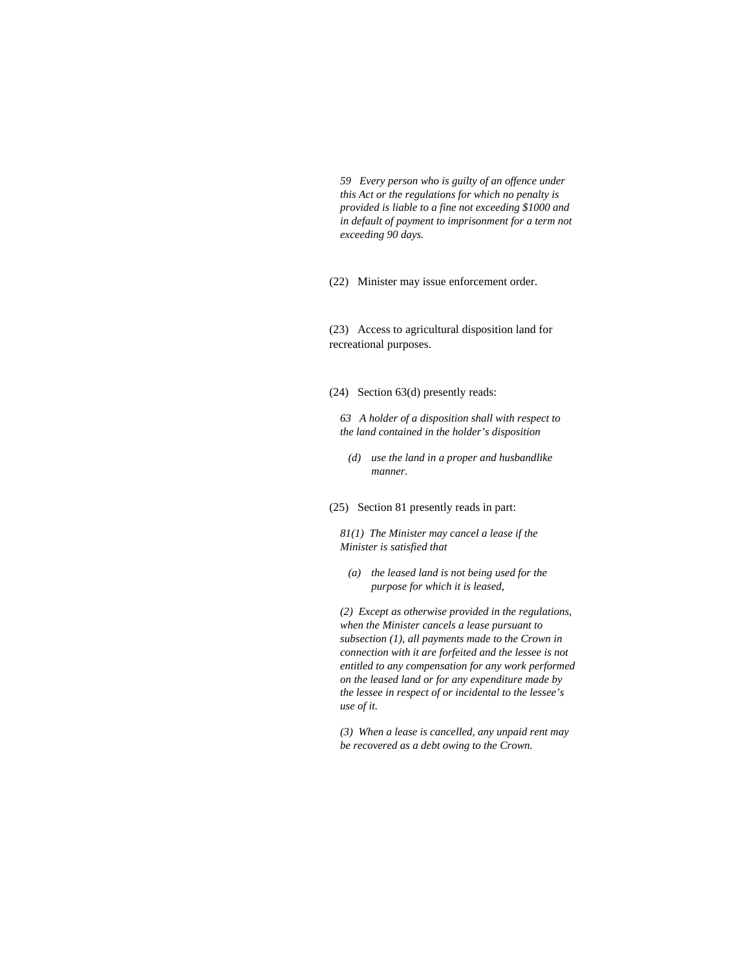*59 Every person who is guilty of an offence under this Act or the regulations for which no penalty is provided is liable to a fine not exceeding \$1000 and in default of payment to imprisonment for a term not exceeding 90 days.* 

(22) Minister may issue enforcement order.

(23) Access to agricultural disposition land for recreational purposes.

(24) Section 63(d) presently reads:

*63 A holder of a disposition shall with respect to the land contained in the holder's disposition* 

- *(d) use the land in a proper and husbandlike manner.*
- (25) Section 81 presently reads in part:

*81(1) The Minister may cancel a lease if the Minister is satisfied that* 

 *(a) the leased land is not being used for the purpose for which it is leased,* 

*(2) Except as otherwise provided in the regulations, when the Minister cancels a lease pursuant to subsection (1), all payments made to the Crown in connection with it are forfeited and the lessee is not entitled to any compensation for any work performed on the leased land or for any expenditure made by the lessee in respect of or incidental to the lessee's use of it.* 

*(3) When a lease is cancelled, any unpaid rent may be recovered as a debt owing to the Crown.*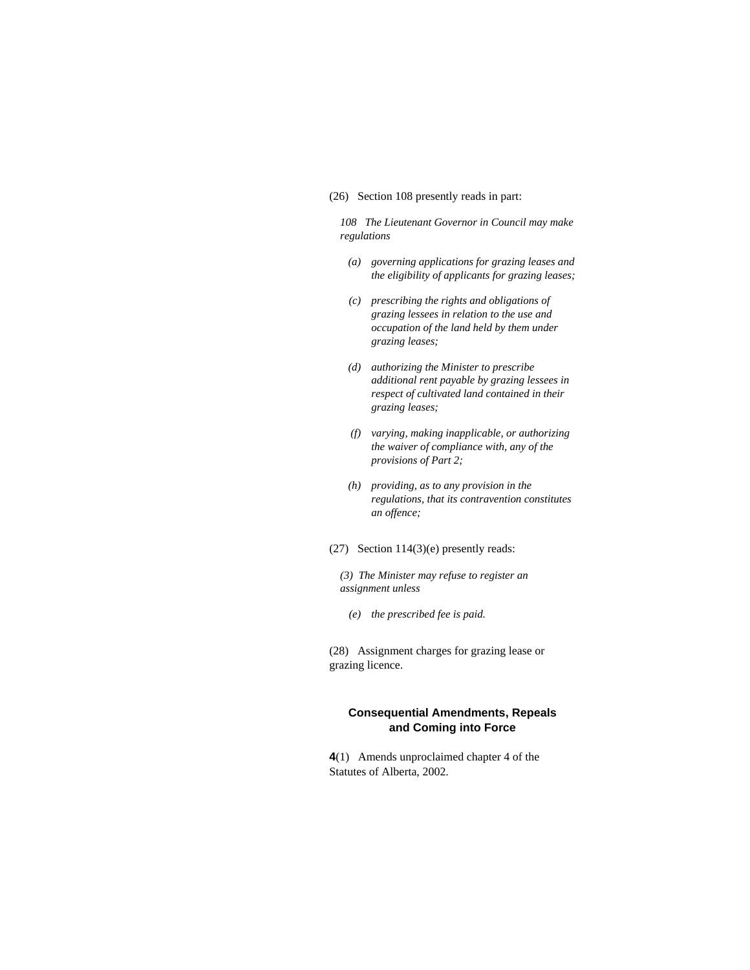#### (26) Section 108 presently reads in part:

*108 The Lieutenant Governor in Council may make regulations* 

- *(a) governing applications for grazing leases and the eligibility of applicants for grazing leases;*
- *(c) prescribing the rights and obligations of grazing lessees in relation to the use and occupation of the land held by them under grazing leases;*
- *(d) authorizing the Minister to prescribe additional rent payable by grazing lessees in respect of cultivated land contained in their grazing leases;*
- *(f) varying, making inapplicable, or authorizing the waiver of compliance with, any of the provisions of Part 2;*
- *(h) providing, as to any provision in the regulations, that its contravention constitutes an offence;*
- (27) Section 114(3)(e) presently reads:

*(3) The Minister may refuse to register an assignment unless* 

 *(e) the prescribed fee is paid.* 

(28) Assignment charges for grazing lease or grazing licence.

# **Consequential Amendments, Repeals and Coming into Force**

**4**(1) Amends unproclaimed chapter 4 of the Statutes of Alberta, 2002.